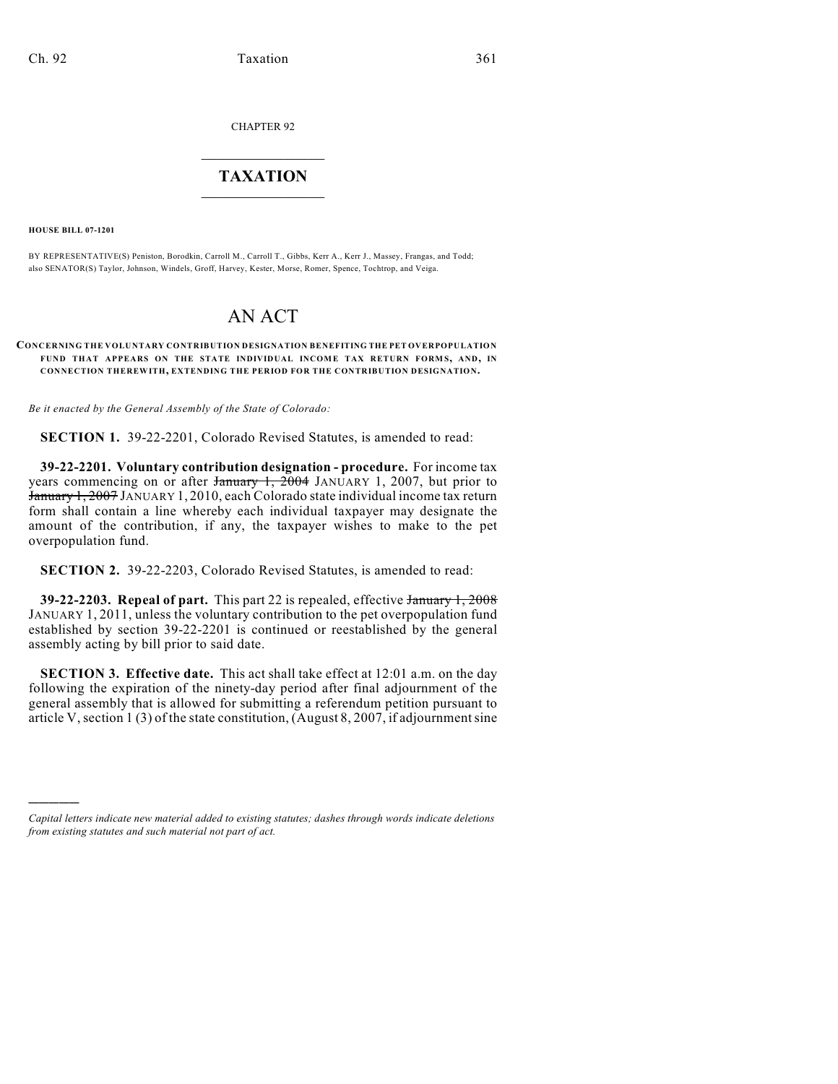CHAPTER 92

## $\mathcal{L}_\text{max}$  . The set of the set of the set of the set of the set of the set of the set of the set of the set of the set of the set of the set of the set of the set of the set of the set of the set of the set of the set **TAXATION**  $\_$

**HOUSE BILL 07-1201**

)))))

BY REPRESENTATIVE(S) Peniston, Borodkin, Carroll M., Carroll T., Gibbs, Kerr A., Kerr J., Massey, Frangas, and Todd; also SENATOR(S) Taylor, Johnson, Windels, Groff, Harvey, Kester, Morse, Romer, Spence, Tochtrop, and Veiga.

## AN ACT

## **CONCERNING THE VOLUNTARY CONTRIBUTION DESIGNATION BENEFITING THE PET OVERPOPULATION FUND THAT APPEARS ON THE STATE INDIVIDUAL INCOME TAX RETURN FORMS, AND, IN CONNECTION THEREWITH, EXTENDING THE PERIOD FOR THE CONTRIBUTION DESIGNATION.**

*Be it enacted by the General Assembly of the State of Colorado:*

**SECTION 1.** 39-22-2201, Colorado Revised Statutes, is amended to read:

**39-22-2201. Voluntary contribution designation - procedure.** For income tax years commencing on or after January 1, 2004 JANUARY 1, 2007, but prior to January 1, 2007 JANUARY 1, 2010, each Colorado state individual income tax return form shall contain a line whereby each individual taxpayer may designate the amount of the contribution, if any, the taxpayer wishes to make to the pet overpopulation fund.

**SECTION 2.** 39-22-2203, Colorado Revised Statutes, is amended to read:

**39-22-2203. Repeal of part.** This part 22 is repealed, effective January 1, 2008 JANUARY 1, 2011, unless the voluntary contribution to the pet overpopulation fund established by section 39-22-2201 is continued or reestablished by the general assembly acting by bill prior to said date.

**SECTION 3. Effective date.** This act shall take effect at 12:01 a.m. on the day following the expiration of the ninety-day period after final adjournment of the general assembly that is allowed for submitting a referendum petition pursuant to article V, section 1 (3) of the state constitution, (August 8, 2007, if adjournment sine

*Capital letters indicate new material added to existing statutes; dashes through words indicate deletions from existing statutes and such material not part of act.*